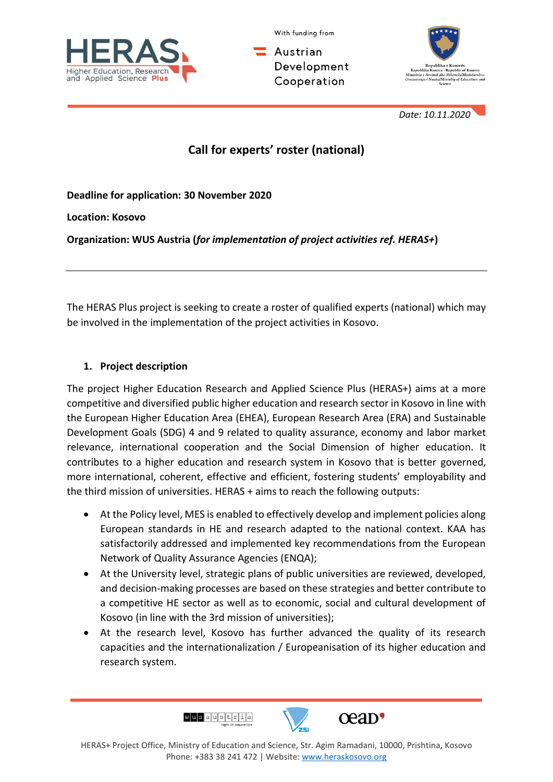

With funding from

. Austrian Development Cooperation



 *Date: 10.11.2020*

# **Call for experts' roster (national)**

**Deadline for application: 30 November 2020**

**Location: Kosovo**

**Organization: WUS Austria (***for implementation of project activities ref. HERAS+***)**

The HERAS Plus project is seeking to create a roster of qualified experts (national) which may be involved in the implementation of the project activities in Kosovo.

#### **1. Project description**

The project Higher Education Research and Applied Science Plus (HERAS+) aims at a more competitive and diversified public higher education and research sector in Kosovo in line with the European Higher Education Area (EHEA), European Research Area (ERA) and Sustainable Development Goals (SDG) 4 and 9 related to quality assurance, economy and labor market relevance, international cooperation and the Social Dimension of higher education. It contributes to a higher education and research system in Kosovo that is better governed, more international, coherent, effective and efficient, fostering students' employability and the third mission of universities. HERAS + aims to reach the following outputs:

- At the Policy level, MES is enabled to effectively develop and implement policies along European standards in HE and research adapted to the national context. KAA has satisfactorily addressed and implemented key recommendations from the European Network of Quality Assurance Agencies (ENQA);
- At the University level, strategic plans of public universities are reviewed, developed, and decision-making processes are based on these strategies and better contribute to a competitive HE sector as well as to economic, social and cultural development of Kosovo (in line with the 3rd mission of universities);
- At the research level, Kosovo has further advanced the quality of its research capacities and the internationalization / Europeanisation of its higher education and research system.

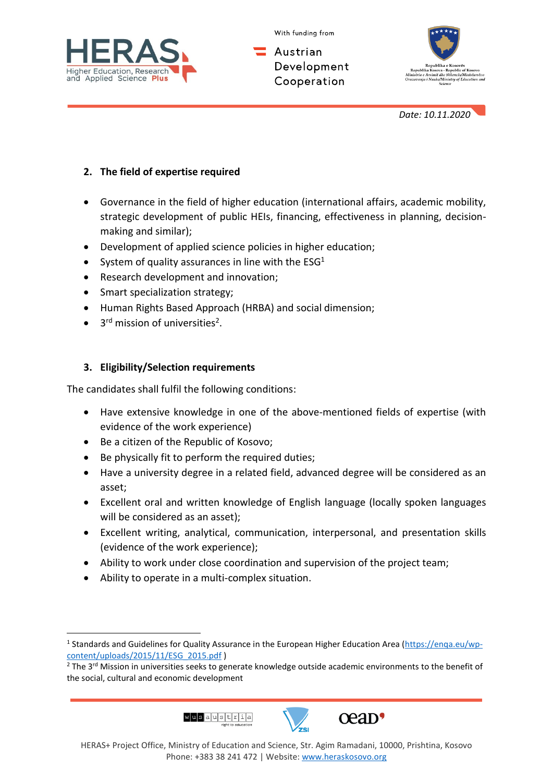



Austrian Development Cooperation



 *Date: 10.11.2020*

### **2. The field of expertise required**

• Governance in the field of higher education (international affairs, academic mobility, strategic development of public HEIs, financing, effectiveness in planning, decisionmaking and similar);

- Development of applied science policies in higher education;
- System of quality assurances in line with the  $ESG<sup>1</sup>$
- Research development and innovation;
- Smart specialization strategy;
- Human Rights Based Approach (HRBA) and social dimension;
- $\bullet$ <sup>rd</sup> mission of universities<sup>2</sup>.

## **3. Eligibility/Selection requirements**

The candidates shall fulfil the following conditions:

- Have extensive knowledge in one of the above-mentioned fields of expertise (with evidence of the work experience)
- Be a citizen of the Republic of Kosovo;
- Be physically fit to perform the required duties;
- Have a university degree in a related field, advanced degree will be considered as an asset;
- Excellent oral and written knowledge of English language (locally spoken languages will be considered as an asset);
- Excellent writing, analytical, communication, interpersonal, and presentation skills (evidence of the work experience);
- Ability to work under close coordination and supervision of the project team;
- Ability to operate in a multi-complex situation.

<sup>&</sup>lt;sup>2</sup> The 3<sup>rd</sup> Mission in universities seeks to generate knowledge outside academic environments to the benefit of the social, cultural and economic development







<sup>&</sup>lt;sup>1</sup> Standards and Guidelines for Quality Assurance in the European Higher Education Area [\(https://enqa.eu/wp](https://enqa.eu/wp-content/uploads/2015/11/ESG_2015.pdf)[content/uploads/2015/11/ESG\\_2015.pdf](https://enqa.eu/wp-content/uploads/2015/11/ESG_2015.pdf) )